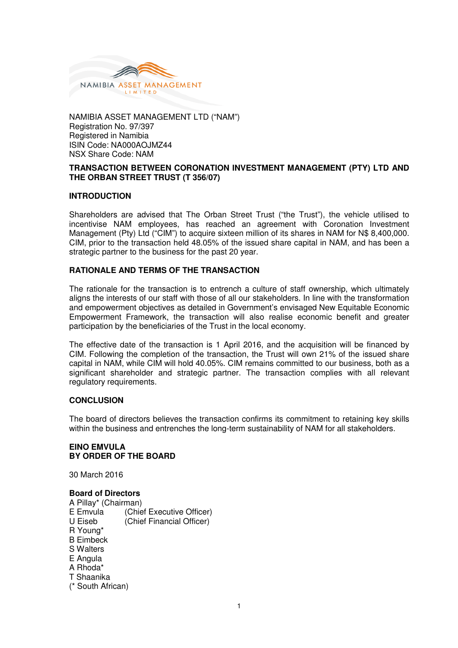

NAMIBIA ASSET MANAGEMENT LTD ("NAM") Registration No. 97/397 Registered in Namibia ISIN Code: NA000AOJMZ44 NSX Share Code: NAM

## **TRANSACTION BETWEEN CORONATION INVESTMENT MANAGEMENT (PTY) LTD AND THE ORBAN STREET TRUST (T 356/07)**

#### **INTRODUCTION**

Shareholders are advised that The Orban Street Trust ("the Trust"), the vehicle utilised to incentivise NAM employees, has reached an agreement with Coronation Investment Management (Pty) Ltd ("CIM") to acquire sixteen million of its shares in NAM for N\$ 8,400,000. CIM, prior to the transaction held 48.05% of the issued share capital in NAM, and has been a strategic partner to the business for the past 20 year.

## **RATIONALE AND TERMS OF THE TRANSACTION**

The rationale for the transaction is to entrench a culture of staff ownership, which ultimately aligns the interests of our staff with those of all our stakeholders. In line with the transformation and empowerment objectives as detailed in Government's envisaged New Equitable Economic Empowerment Framework, the transaction will also realise economic benefit and greater participation by the beneficiaries of the Trust in the local economy.

The effective date of the transaction is 1 April 2016, and the acquisition will be financed by CIM. Following the completion of the transaction, the Trust will own 21% of the issued share capital in NAM, while CIM will hold 40.05%. CIM remains committed to our business, both as a significant shareholder and strategic partner. The transaction complies with all relevant regulatory requirements.

## **CONCLUSION**

The board of directors believes the transaction confirms its commitment to retaining key skills within the business and entrenches the long-term sustainability of NAM for all stakeholders.

## **EINO EMVULA BY ORDER OF THE BOARD**

30 March 2016

#### **Board of Directors**

A Pillay\* (Chairman) E Emvula (Chief Executive Officer) U Eiseb (Chief Financial Officer) R Young\* B Eimbeck S Walters E Angula A Rhoda\* T Shaanika (\* South African)